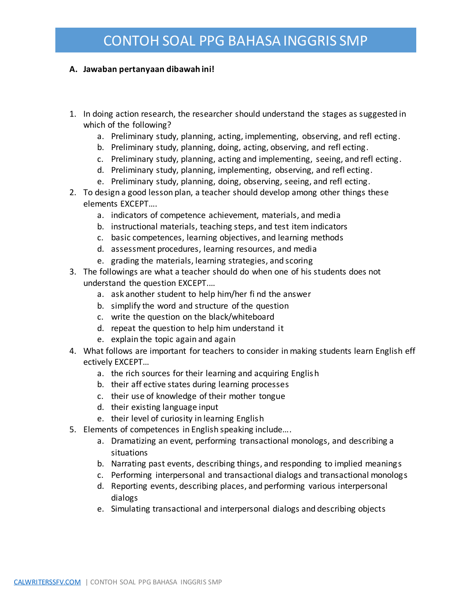## CONTOH SOAL PPG BAHASA INGGRIS SMP

## **A. Jawaban pertanyaan dibawah ini!**

- 1. In doing action research, the researcher should understand the stages as suggested in which of the following?
	- a. Preliminary study, planning, acting, implementing, observing, and refl ecting.
	- b. Preliminary study, planning, doing, acting, observing, and refl ecting.
	- c. Preliminary study, planning, acting and implementing, seeing, and refl ecting.
	- d. Preliminary study, planning, implementing, observing, and refl ecting.
	- e. Preliminary study, planning, doing, observing, seeing, and refl ecting.
- 2. To design a good lesson plan, a teacher should develop among other things these elements EXCEPT….
	- a. indicators of competence achievement, materials, and media
	- b. instructional materials, teaching steps, and test item indicators
	- c. basic competences, learning objectives, and learning methods
	- d. assessment procedures, learning resources, and media
	- e. grading the materials, learning strategies, and scoring
- 3. The followings are what a teacher should do when one of his students does not understand the question EXCEPT.…
	- a. ask another student to help him/her fi nd the answer
	- b. simplify the word and structure of the question
	- c. write the question on the black/whiteboard
	- d. repeat the question to help him understand it
	- e. explain the topic again and again
- 4. What follows are important for teachers to consider in making students learn English eff ectively EXCEPT…
	- a. the rich sources for their learning and acquiring English
	- b. their aff ective states during learning processes
	- c. their use of knowledge of their mother tongue
	- d. their existing language input
	- e. their level of curiosity in learning English
- 5. Elements of competences in English speaking include….
	- a. Dramatizing an event, performing transactional monologs, and describing a situations
	- b. Narrating past events, describing things, and responding to implied meanings
	- c. Performing interpersonal and transactional dialogs and transactional monologs
	- d. Reporting events, describing places, and performing various interpersonal dialogs
	- e. Simulating transactional and interpersonal dialogs and describing objects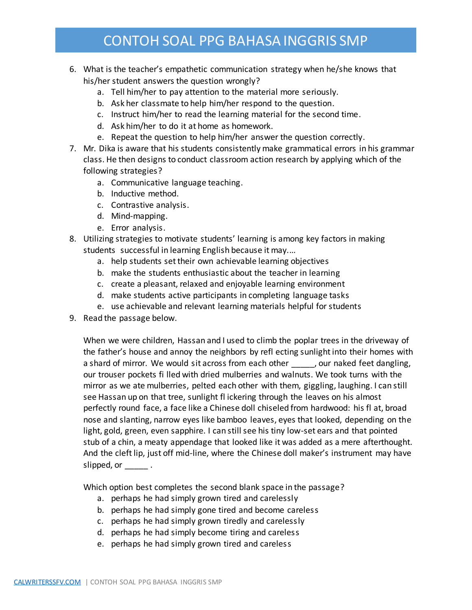## CONTOH SOAL PPG BAHASA INGGRIS SMP

- 6. What is the teacher's empathetic communication strategy when he/she knows that his/her student answers the question wrongly?
	- a. Tell him/her to pay attention to the material more seriously.
	- b. Ask her classmate to help him/her respond to the question.
	- c. Instruct him/her to read the learning material for the second time.
	- d. Ask him/her to do it at home as homework.
	- e. Repeat the question to help him/her answer the question correctly.
- 7. Mr. Dika is aware that his students consistently make grammatical errors in his grammar class. He then designs to conduct classroom action research by applying which of the following strategies?
	- a. Communicative language teaching.
	- b. Inductive method.
	- c. Contrastive analysis.
	- d. Mind-mapping.
	- e. Error analysis.
- 8. Utilizing strategies to motivate students' learning is among key factors in making students successful in learning English because it may.…
	- a. help students set their own achievable learning objectives
	- b. make the students enthusiastic about the teacher in learning
	- c. create a pleasant, relaxed and enjoyable learning environment
	- d. make students active participants in completing language tasks
	- e. use achievable and relevant learning materials helpful for students
- 9. Read the passage below.

When we were children, Hassan and I used to climb the poplar trees in the driveway of the father's house and annoy the neighbors by refl ecting sunlight into their homes with a shard of mirror. We would sit across from each other \_\_\_\_\_, our naked feet dangling, our trouser pockets fi lled with dried mulberries and walnuts. We took turns with the mirror as we ate mulberries, pelted each other with them, giggling, laughing. I can still see Hassan up on that tree, sunlight fl ickering through the leaves on his almost perfectly round face, a face like a Chinese doll chiseled from hardwood: his fl at, broad nose and slanting, narrow eyes like bamboo leaves, eyes that looked, depending on the light, gold, green, even sapphire. I can still see his tiny low-set ears and that pointed stub of a chin, a meaty appendage that looked like it was added as a mere afterthought. And the cleft lip, just off mid-line, where the Chinese doll maker's instrument may have slipped, or  $\qquad \qquad$ .

Which option best completes the second blank space in the passage?

- a. perhaps he had simply grown tired and carelessly
- b. perhaps he had simply gone tired and become careless
- c. perhaps he had simply grown tiredly and carelessly
- d. perhaps he had simply become tiring and careless
- e. perhaps he had simply grown tired and careless